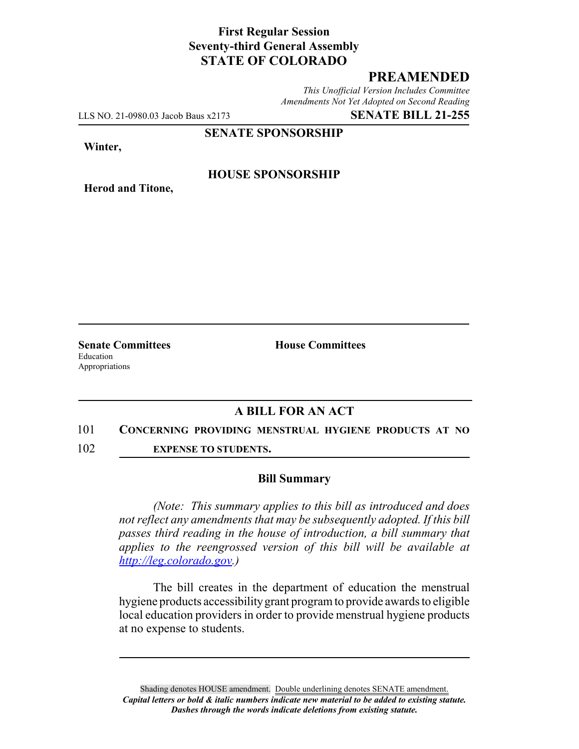# **First Regular Session Seventy-third General Assembly STATE OF COLORADO**

## **PREAMENDED**

*This Unofficial Version Includes Committee Amendments Not Yet Adopted on Second Reading*

LLS NO. 21-0980.03 Jacob Baus x2173 **SENATE BILL 21-255**

**SENATE SPONSORSHIP**

**Winter,**

**Herod and Titone,**

**HOUSE SPONSORSHIP**

**Senate Committees House Committees** Education Appropriations

## **A BILL FOR AN ACT**

#### 101 **CONCERNING PROVIDING MENSTRUAL HYGIENE PRODUCTS AT NO**

102 **EXPENSE TO STUDENTS.**

### **Bill Summary**

*(Note: This summary applies to this bill as introduced and does not reflect any amendments that may be subsequently adopted. If this bill passes third reading in the house of introduction, a bill summary that applies to the reengrossed version of this bill will be available at http://leg.colorado.gov.)*

The bill creates in the department of education the menstrual hygiene products accessibility grant program to provide awards to eligible local education providers in order to provide menstrual hygiene products at no expense to students.

Shading denotes HOUSE amendment. Double underlining denotes SENATE amendment. *Capital letters or bold & italic numbers indicate new material to be added to existing statute. Dashes through the words indicate deletions from existing statute.*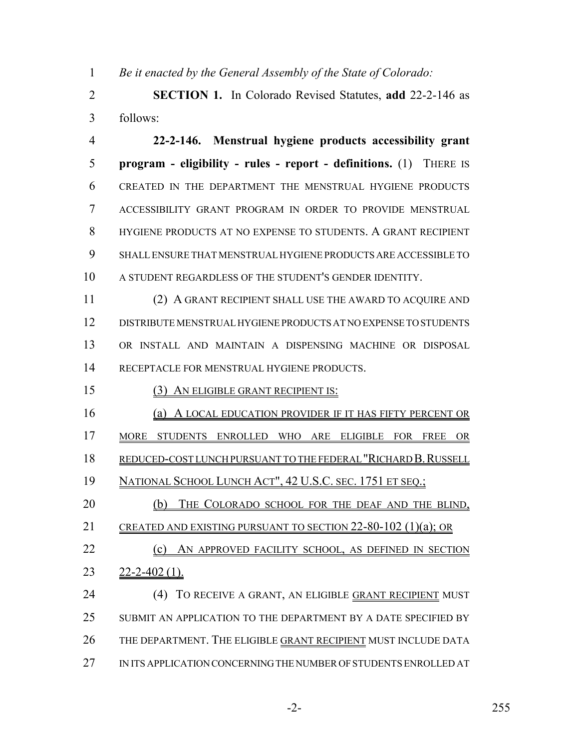*Be it enacted by the General Assembly of the State of Colorado:*

 **SECTION 1.** In Colorado Revised Statutes, **add** 22-2-146 as follows:

 **22-2-146. Menstrual hygiene products accessibility grant program - eligibility - rules - report - definitions.** (1) THERE IS CREATED IN THE DEPARTMENT THE MENSTRUAL HYGIENE PRODUCTS ACCESSIBILITY GRANT PROGRAM IN ORDER TO PROVIDE MENSTRUAL HYGIENE PRODUCTS AT NO EXPENSE TO STUDENTS. A GRANT RECIPIENT SHALL ENSURE THAT MENSTRUAL HYGIENE PRODUCTS ARE ACCESSIBLE TO A STUDENT REGARDLESS OF THE STUDENT'S GENDER IDENTITY.

 (2) A GRANT RECIPIENT SHALL USE THE AWARD TO ACQUIRE AND DISTRIBUTE MENSTRUAL HYGIENE PRODUCTS AT NO EXPENSE TO STUDENTS OR INSTALL AND MAINTAIN A DISPENSING MACHINE OR DISPOSAL RECEPTACLE FOR MENSTRUAL HYGIENE PRODUCTS.

15 (3) AN ELIGIBLE GRANT RECIPIENT IS:

(a) A LOCAL EDUCATION PROVIDER IF IT HAS FIFTY PERCENT OR

MORE STUDENTS ENROLLED WHO ARE ELIGIBLE FOR FREE OR

REDUCED-COST LUNCH PURSUANT TO THE FEDERAL "RICHARD B.RUSSELL

NATIONAL SCHOOL LUNCH ACT", 42 U.S.C. SEC. 1751 ET SEQ.;

20 (b) THE COLORADO SCHOOL FOR THE DEAF AND THE BLIND,

CREATED AND EXISTING PURSUANT TO SECTION 22-80-102 (1)(a); OR

22 (c) AN APPROVED FACILITY SCHOOL, AS DEFINED IN SECTION 22-2-402 (1).

 (4) TO RECEIVE A GRANT, AN ELIGIBLE GRANT RECIPIENT MUST SUBMIT AN APPLICATION TO THE DEPARTMENT BY A DATE SPECIFIED BY THE DEPARTMENT. THE ELIGIBLE GRANT RECIPIENT MUST INCLUDE DATA IN ITS APPLICATION CONCERNING THE NUMBER OF STUDENTS ENROLLED AT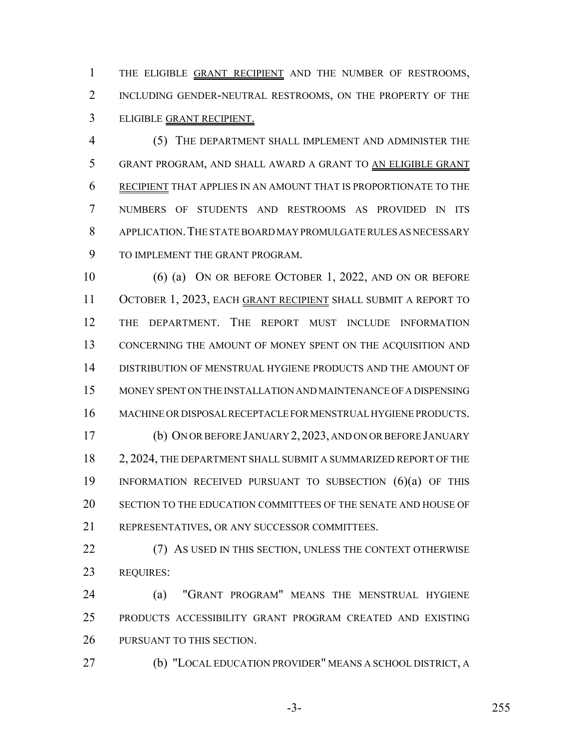1 THE ELIGIBLE GRANT RECIPIENT AND THE NUMBER OF RESTROOMS, INCLUDING GENDER-NEUTRAL RESTROOMS, ON THE PROPERTY OF THE ELIGIBLE GRANT RECIPIENT.

 (5) THE DEPARTMENT SHALL IMPLEMENT AND ADMINISTER THE GRANT PROGRAM, AND SHALL AWARD A GRANT TO AN ELIGIBLE GRANT RECIPIENT THAT APPLIES IN AN AMOUNT THAT IS PROPORTIONATE TO THE NUMBERS OF STUDENTS AND RESTROOMS AS PROVIDED IN ITS APPLICATION.THE STATE BOARD MAY PROMULGATE RULES AS NECESSARY TO IMPLEMENT THE GRANT PROGRAM.

 (6) (a) ON OR BEFORE OCTOBER 1, 2022, AND ON OR BEFORE 11 OCTOBER 1, 2023, EACH GRANT RECIPIENT SHALL SUBMIT A REPORT TO THE DEPARTMENT. THE REPORT MUST INCLUDE INFORMATION CONCERNING THE AMOUNT OF MONEY SPENT ON THE ACQUISITION AND DISTRIBUTION OF MENSTRUAL HYGIENE PRODUCTS AND THE AMOUNT OF MONEY SPENT ON THE INSTALLATION AND MAINTENANCE OF A DISPENSING MACHINE OR DISPOSAL RECEPTACLE FOR MENSTRUAL HYGIENE PRODUCTS. (b) ON OR BEFORE JANUARY 2,2023, AND ON OR BEFORE JANUARY 2, 2024, THE DEPARTMENT SHALL SUBMIT A SUMMARIZED REPORT OF THE INFORMATION RECEIVED PURSUANT TO SUBSECTION (6)(a) OF THIS SECTION TO THE EDUCATION COMMITTEES OF THE SENATE AND HOUSE OF

REPRESENTATIVES, OR ANY SUCCESSOR COMMITTEES.

22 (7) AS USED IN THIS SECTION, UNLESS THE CONTEXT OTHERWISE REQUIRES:

 (a) "GRANT PROGRAM" MEANS THE MENSTRUAL HYGIENE PRODUCTS ACCESSIBILITY GRANT PROGRAM CREATED AND EXISTING PURSUANT TO THIS SECTION.

(b) "LOCAL EDUCATION PROVIDER" MEANS A SCHOOL DISTRICT, A

-3- 255